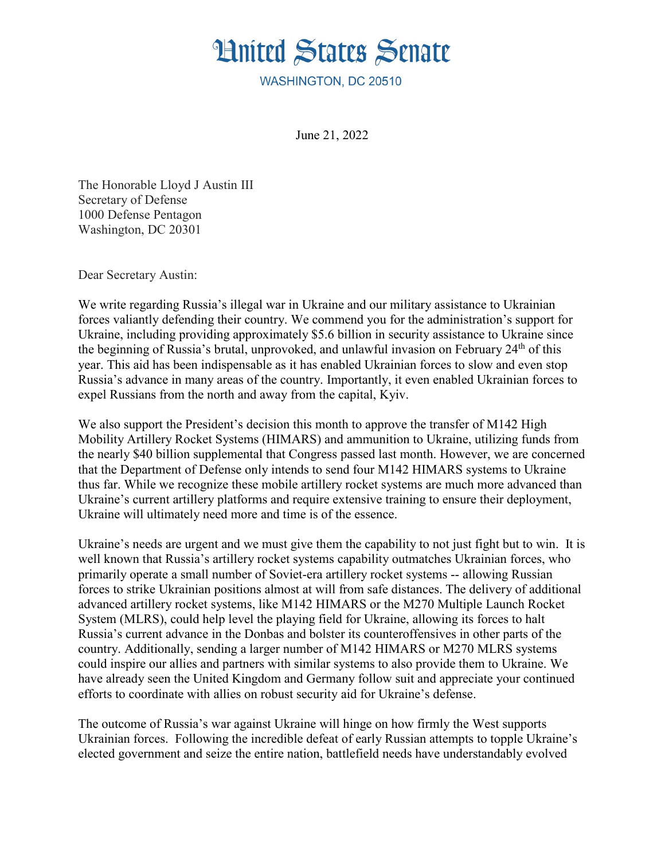

WASHINGTON, DC 20510

June 21, 2022

The Honorable Lloyd J Austin III Secretary of Defense 1000 Defense Pentagon Washington, DC 20301

Dear Secretary Austin:

We write regarding Russia's illegal war in Ukraine and our military assistance to Ukrainian forces valiantly defending their country. We commend you for the administration's support for Ukraine, including providing approximately \$5.6 billion in security assistance to Ukraine since the beginning of Russia's brutal, unprovoked, and unlawful invasion on February 24<sup>th</sup> of this year. This aid has been indispensable as it has enabled Ukrainian forces to slow and even stop Russia's advance in many areas of the country. Importantly, it even enabled Ukrainian forces to expel Russians from the north and away from the capital, Kyiv.

We also support the President's decision this month to approve the transfer of M142 High Mobility Artillery Rocket Systems (HIMARS) and ammunition to Ukraine, utilizing funds from the nearly \$40 billion supplemental that Congress passed last month. However, we are concerned that the Department of Defense only intends to send four M142 HIMARS systems to Ukraine thus far. While we recognize these mobile artillery rocket systems are much more advanced than Ukraine's current artillery platforms and require extensive training to ensure their deployment, Ukraine will ultimately need more and time is of the essence.

Ukraine's needs are urgent and we must give them the capability to not just fight but to win. It is well known that Russia's artillery rocket systems capability outmatches Ukrainian forces, who primarily operate a small number of Soviet-era artillery rocket systems -- allowing Russian forces to strike Ukrainian positions almost at will from safe distances. The delivery of additional advanced artillery rocket systems, like M142 HIMARS or the M270 Multiple Launch Rocket System (MLRS), could help level the playing field for Ukraine, allowing its forces to halt Russia's current advance in the Donbas and bolster its counteroffensives in other parts of the country. Additionally, sending a larger number of M142 HIMARS or M270 MLRS systems could inspire our allies and partners with similar systems to also provide them to Ukraine. We have already seen the United Kingdom and Germany follow suit and appreciate your continued efforts to coordinate with allies on robust security aid for Ukraine's defense.

The outcome of Russia's war against Ukraine will hinge on how firmly the West supports Ukrainian forces. Following the incredible defeat of early Russian attempts to topple Ukraine's elected government and seize the entire nation, battlefield needs have understandably evolved